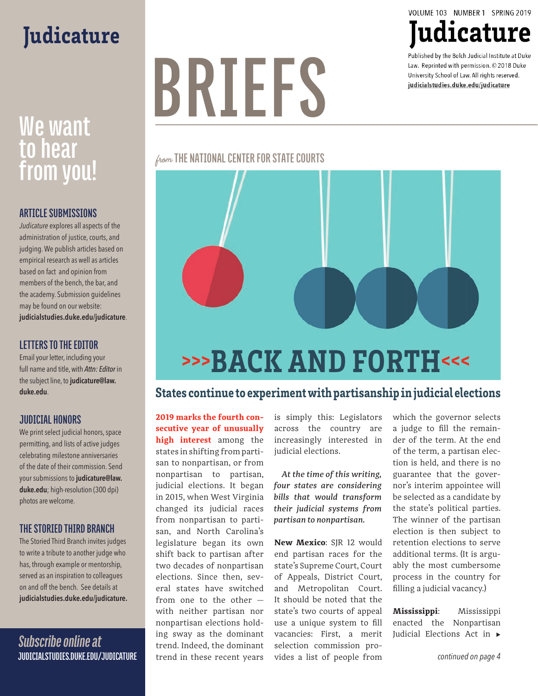## **Judicature**

## We want **to hear from you!**

#### **ARTICLE SUBMISSIONS**

*Judicature* explores all aspects of the administration of justice, courts, and judging. We publish articles based on empirical research as well as articles based on fact and opinion from members of the bench, the bar, and the academy. Submission guidelines may be found on our website: **judicialstudies.duke.edu/judicature**.

#### **LETTERS TO THE EDITOR**

Email your letter, including your full name and title, with *Attn: Editor* in the subject line, to **judicature@law. duke.edu**.

#### **JUDICIAL HONORS**

We print select judicial honors, space permitting, and lists of active judges celebrating milestone anniversaries of the date of their commission. Send your submissions to **judicature@law. duke.edu**; high-resolution (300 dpi) photos are welcome.

#### **THE STORIED THIRD BRANCH**

The Storied Third Branch invites judges to write a tribute to another judge who has, through example or mentorship, served as an inspiration to colleagues on and off the bench. See details at **judicialstudies.duke.edu/judicature.**

*Subscribe online at*  **JUDICIALSTUDIES.DUKE.EDU/JUDICATURE**

# **BRIEFS**

from **THE NATIONAL CENTER FOR STATE COURTS**



### States continue to experiment with partisanship in judicial elections

**2019 marks the fourth consecutive year of unusually high interest** among the states in shifting from partisan to nonpartisan, or from nonpartisan to partisan, judicial elections. It began in 2015, when West Virginia changed its judicial races from nonpartisan to partisan, and North Carolina's legislature began its own shift back to partisan after two decades of nonpartisan elections. Since then, several states have switched from one to the other with neither partisan nor nonpartisan elections holding sway as the dominant trend. Indeed, the dominant trend in these recent years

is simply this: Legislators across the country are increasingly interested in judicial elections.

*At the time of this writing, four states are considering bills that would transform their judicial systems from partisan to nonpartisan.* 

**New Mexico**: SJR 12 would end partisan races for the state's Supreme Court, Court of Appeals, District Court, and Metropolitan Court. It should be noted that the state's two courts of appeal use a unique system to fill vacancies: First, a merit selection commission provides a list of people from

which the governor selects a judge to fill the remainder of the term. At the end of the term, a partisan election is held, and there is no guarantee that the governor's interim appointee will be selected as a candidate by the state's political parties. The winner of the partisan election is then subject to retention elections to serve additional terms. (It is arguably the most cumbersome process in the country for filling a judicial vacancy.)

**Mississippi**: Mississippi enacted the Nonpartisan Judicial Elections Act in  $\blacktriangleright$ 

VOLUME 103 NUMBER 1 SPRING 2019

Judicature

Published by the Bolch Judicial Institute at Duke Law. Reprinted with permission. © 2018 Duke University School of Law. All rights reserved. judicialstudies.duke.edu/judicature